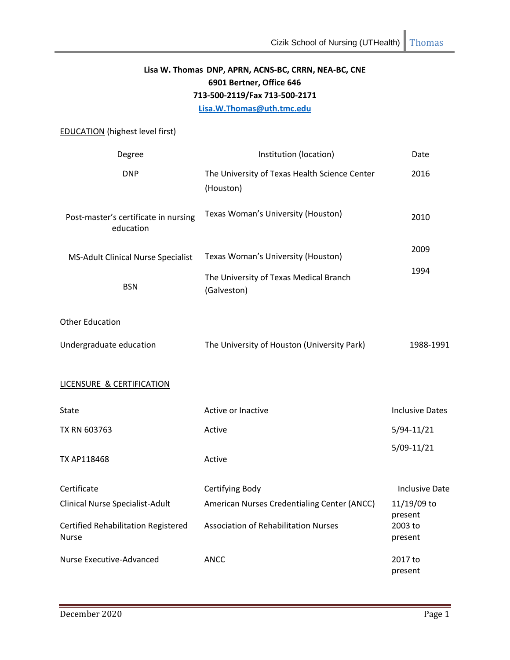# **Lisa W. Thomas DNP, APRN, ACNS-BC, CRRN, NEA-BC, CNE 6901 Bertner, Office 646 713-500-2119/Fax 713-500-2171 [Lisa.W.Thomas@uth.tmc.edu](mailto:Lisa.W.Thomas@uth.tmc.edu)**

# EDUCATION (highest level first)

| Degree                                                     | Institution (location)                                     | Date                   |
|------------------------------------------------------------|------------------------------------------------------------|------------------------|
| <b>DNP</b>                                                 | The University of Texas Health Science Center<br>(Houston) | 2016                   |
| Post-master's certificate in nursing<br>education          | Texas Woman's University (Houston)                         | 2010                   |
| MS-Adult Clinical Nurse Specialist                         | Texas Woman's University (Houston)                         | 2009                   |
| <b>BSN</b>                                                 | The University of Texas Medical Branch<br>(Galveston)      | 1994                   |
| <b>Other Education</b>                                     |                                                            |                        |
| Undergraduate education                                    | The University of Houston (University Park)                | 1988-1991              |
| LICENSURE & CERTIFICATION                                  |                                                            |                        |
| State                                                      | Active or Inactive                                         | <b>Inclusive Dates</b> |
| TX RN 603763                                               | Active                                                     | $5/94 - 11/21$         |
| TX AP118468                                                | Active                                                     | $5/09-11/21$           |
| Certificate                                                | Certifying Body                                            | Inclusive Date         |
| Clinical Nurse Specialist-Adult                            | American Nurses Credentialing Center (ANCC)                | 11/19/09 to<br>present |
| <b>Certified Rehabilitation Registered</b><br><b>Nurse</b> | <b>Association of Rehabilitation Nurses</b>                | 2003 to<br>present     |
| Nurse Executive-Advanced                                   | <b>ANCC</b>                                                | 2017 to<br>present     |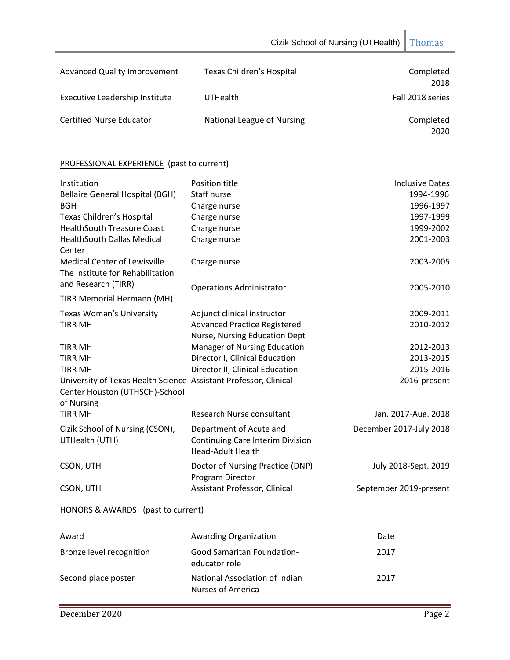| <b>Advanced Quality Improvement</b> | Texas Children's Hospital  | Completed<br>2018 |
|-------------------------------------|----------------------------|-------------------|
| Executive Leadership Institute      | <b>UTHealth</b>            | Fall 2018 series  |
| <b>Certified Nurse Educator</b>     | National League of Nursing | Completed<br>2020 |

# PROFESSIONAL EXPERIENCE (past to current)

| Institution                                                             | Position title                                                                                 | <b>Inclusive Dates</b>  |
|-------------------------------------------------------------------------|------------------------------------------------------------------------------------------------|-------------------------|
| <b>Bellaire General Hospital (BGH)</b>                                  | Staff nurse                                                                                    | 1994-1996               |
| <b>BGH</b>                                                              | Charge nurse                                                                                   | 1996-1997               |
| Texas Children's Hospital                                               | Charge nurse                                                                                   | 1997-1999               |
| <b>HealthSouth Treasure Coast</b>                                       | Charge nurse                                                                                   | 1999-2002               |
| <b>HealthSouth Dallas Medical</b>                                       | Charge nurse                                                                                   | 2001-2003               |
| Center                                                                  |                                                                                                |                         |
| <b>Medical Center of Lewisville</b><br>The Institute for Rehabilitation | Charge nurse                                                                                   | 2003-2005               |
| and Research (TIRR)                                                     | <b>Operations Administrator</b>                                                                | 2005-2010               |
| <b>TIRR Memorial Hermann (MH)</b>                                       |                                                                                                |                         |
| <b>Texas Woman's University</b>                                         | Adjunct clinical instructor                                                                    | 2009-2011               |
| <b>TIRR MH</b>                                                          | <b>Advanced Practice Registered</b><br>Nurse, Nursing Education Dept                           | 2010-2012               |
| <b>TIRR MH</b>                                                          | Manager of Nursing Education                                                                   | 2012-2013               |
| <b>TIRR MH</b>                                                          | Director I, Clinical Education                                                                 | 2013-2015               |
| <b>TIRR MH</b>                                                          | Director II, Clinical Education                                                                | 2015-2016               |
| University of Texas Health Science Assistant Professor, Clinical        |                                                                                                | 2016-present            |
| Center Houston (UTHSCH)-School                                          |                                                                                                |                         |
| of Nursing                                                              |                                                                                                |                         |
| <b>TIRR MH</b>                                                          | Research Nurse consultant                                                                      | Jan. 2017-Aug. 2018     |
| Cizik School of Nursing (CSON),<br>UTHealth (UTH)                       | Department of Acute and<br><b>Continuing Care Interim Division</b><br><b>Head-Adult Health</b> | December 2017-July 2018 |
| CSON, UTH                                                               | Doctor of Nursing Practice (DNP)<br>Program Director                                           | July 2018-Sept. 2019    |
| CSON, UTH                                                               | Assistant Professor, Clinical                                                                  | September 2019-present  |
| HONORS & AWARDS (past to current)                                       |                                                                                                |                         |
| Award                                                                   | <b>Awarding Organization</b>                                                                   | Date                    |
| Bronze level recognition                                                | <b>Good Samaritan Foundation-</b><br>educator role                                             | 2017                    |
| Second place poster                                                     | National Association of Indian<br><b>Nurses of America</b>                                     | 2017                    |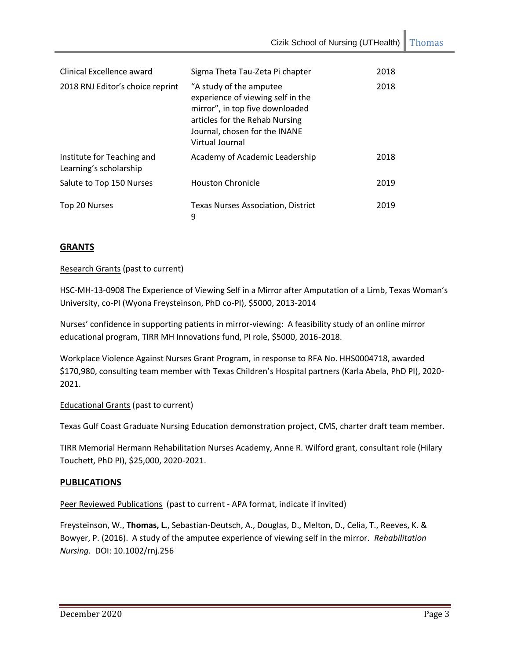Cizik School of Nursing (UTHealth) Thomas

| Clinical Excellence award                            | Sigma Theta Tau-Zeta Pi chapter                                                                                                                                                       | 2018 |
|------------------------------------------------------|---------------------------------------------------------------------------------------------------------------------------------------------------------------------------------------|------|
| 2018 RNJ Editor's choice reprint                     | "A study of the amputee<br>experience of viewing self in the<br>mirror", in top five downloaded<br>articles for the Rehab Nursing<br>Journal, chosen for the INANE<br>Virtual Journal | 2018 |
| Institute for Teaching and<br>Learning's scholarship | Academy of Academic Leadership                                                                                                                                                        | 2018 |
| Salute to Top 150 Nurses                             | <b>Houston Chronicle</b>                                                                                                                                                              | 2019 |
| Top 20 Nurses                                        | Texas Nurses Association, District<br>9                                                                                                                                               | 2019 |

# **GRANTS**

# Research Grants (past to current)

HSC-MH-13-0908 The Experience of Viewing Self in a Mirror after Amputation of a Limb, Texas Woman's University, co-PI (Wyona Freysteinson, PhD co-PI), \$5000, 2013-2014

Nurses' confidence in supporting patients in mirror-viewing: A feasibility study of an online mirror educational program, TIRR MH Innovations fund, PI role, \$5000, 2016-2018.

Workplace Violence Against Nurses Grant Program, in response to RFA No. HHS0004718, awarded \$170,980, consulting team member with Texas Children's Hospital partners (Karla Abela, PhD PI), 2020- 2021.

# **Educational Grants (past to current)**

Texas Gulf Coast Graduate Nursing Education demonstration project, CMS, charter draft team member.

TIRR Memorial Hermann Rehabilitation Nurses Academy, Anne R. Wilford grant, consultant role (Hilary Touchett, PhD PI), \$25,000, 2020-2021.

# **PUBLICATIONS**

Peer Reviewed Publications (past to current - APA format, indicate if invited)

Freysteinson, W., **Thomas, L.**, Sebastian-Deutsch, A., Douglas, D., Melton, D., Celia, T., Reeves, K. & Bowyer, P. (2016). A study of the amputee experience of viewing self in the mirror. *Rehabilitation Nursing.* DOI: 10.1002/rnj.256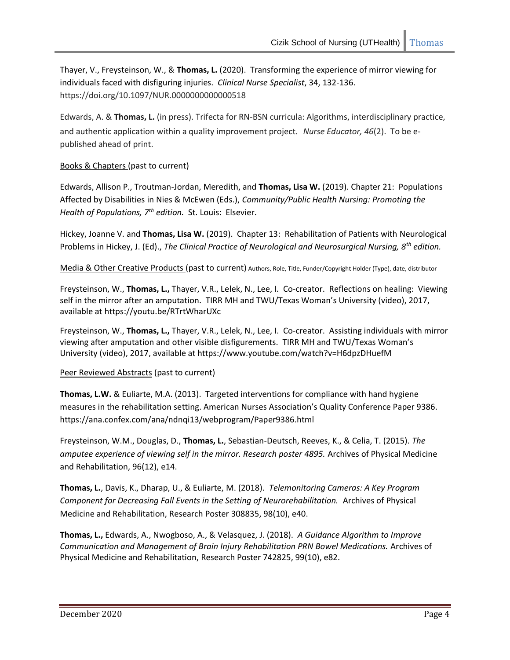Thayer, V., Freysteinson, W., & **Thomas, L.** (2020). Transforming the experience of mirror viewing for individuals faced with disfiguring injuries. *Clinical Nurse Specialist*, 34, 132-136. https://doi.org/10.1097/NUR.0000000000000518

Edwards, A. & **Thomas, L.** (in press). Trifecta for RN-BSN curricula: Algorithms, interdisciplinary practice, and authentic application within a quality improvement project. *Nurse Educator, 46*(2). To be epublished ahead of print.

# Books & Chapters (past to current)

Edwards, Allison P., Troutman-Jordan, Meredith, and **Thomas, Lisa W.** (2019). Chapter 21: Populations Affected by Disabilities in Nies & McEwen (Eds.), *Community/Public Health Nursing: Promoting the Health of Populations, 7th edition.* St. Louis: Elsevier.

Hickey, Joanne V. and **Thomas, Lisa W.** (2019). Chapter 13: Rehabilitation of Patients with Neurological Problems in Hickey, J. (Ed)., *The Clinical Practice of Neurological and Neurosurgical Nursing, 8th edition.*

Media & Other Creative Products (past to current) Authors, Role, Title, Funder/Copyright Holder (Type), date, distributor

Freysteinson, W., **Thomas, L.,** Thayer, V.R., Lelek, N., Lee, I. Co-creator. Reflections on healing: Viewing self in the mirror after an amputation. TIRR MH and TWU/Texas Woman's University (video), 2017, available at https://youtu.be/RTrtWharUXc

Freysteinson, W., **Thomas, L.,** Thayer, V.R., Lelek, N., Lee, I. Co-creator. Assisting individuals with mirror viewing after amputation and other visible disfigurements. TIRR MH and TWU/Texas Woman's University (video), 2017, available at https://www.youtube.com/watch?v=H6dpzDHuefM

# Peer Reviewed Abstracts (past to current)

**Thomas, L.W.** & Euliarte, M.A. (2013). Targeted interventions for compliance with hand hygiene measures in the rehabilitation setting. American Nurses Association's Quality Conference Paper 9386. https://ana.confex.com/ana/ndnqi13/webprogram/Paper9386.html

Freysteinson, W.M., Douglas, D., **Thomas, L.**, Sebastian-Deutsch, Reeves, K., & Celia, T. (2015). *The amputee experience of viewing self in the mirror. Research poster 4895.* Archives of Physical Medicine and Rehabilitation, 96(12), e14.

**Thomas, L.**, Davis, K., Dharap, U., & Euliarte, M. (2018). *Telemonitoring Cameras: A Key Program Component for Decreasing Fall Events in the Setting of Neurorehabilitation.* Archives of Physical Medicine and Rehabilitation, Research Poster 308835, 98(10), e40.

**Thomas, L.,** Edwards, A., Nwogboso, A., & Velasquez, J. (2018). *A Guidance Algorithm to Improve Communication and Management of Brain Injury Rehabilitation PRN Bowel Medications.* Archives of Physical Medicine and Rehabilitation, Research Poster 742825, 99(10), e82.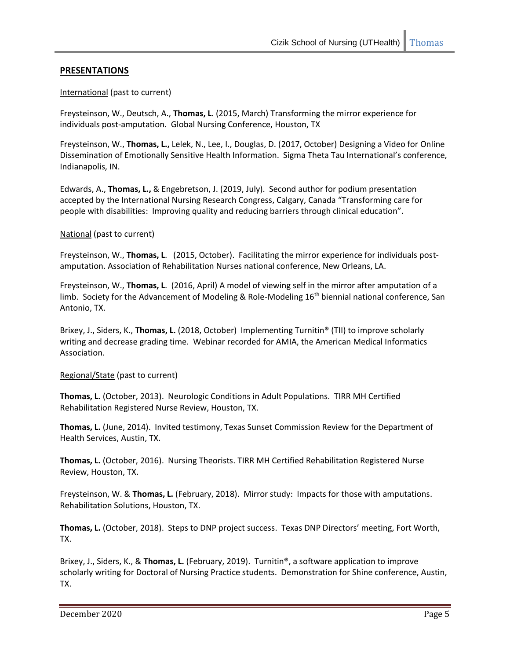# **PRESENTATIONS**

# International (past to current)

Freysteinson, W., Deutsch, A., **Thomas, L**. (2015, March) Transforming the mirror experience for individuals post-amputation. Global Nursing Conference, Houston, TX

Freysteinson, W., **Thomas, L.,** Lelek, N., Lee, I., Douglas, D. (2017, October) Designing a Video for Online Dissemination of Emotionally Sensitive Health Information. Sigma Theta Tau International's conference, Indianapolis, IN.

Edwards, A., **Thomas, L.,** & Engebretson, J. (2019, July). Second author for podium presentation accepted by the International Nursing Research Congress, Calgary, Canada "Transforming care for people with disabilities: Improving quality and reducing barriers through clinical education".

#### National (past to current)

Freysteinson, W., **Thomas, L**. (2015, October). Facilitating the mirror experience for individuals postamputation. Association of Rehabilitation Nurses national conference, New Orleans, LA.

Freysteinson, W., **Thomas, L**. (2016, April) A model of viewing self in the mirror after amputation of a limb. Society for the Advancement of Modeling & Role-Modeling  $16<sup>th</sup>$  biennial national conference, San Antonio, TX.

Brixey, J., Siders, K., **Thomas, L.** (2018, October) Implementing Turnitin® (TII) to improve scholarly writing and decrease grading time. Webinar recorded for AMIA, the American Medical Informatics Association.

#### Regional/State (past to current)

**Thomas, L.** (October, 2013). Neurologic Conditions in Adult Populations. TIRR MH Certified Rehabilitation Registered Nurse Review, Houston, TX.

**Thomas, L.** (June, 2014). Invited testimony, Texas Sunset Commission Review for the Department of Health Services, Austin, TX.

**Thomas, L.** (October, 2016). Nursing Theorists. TIRR MH Certified Rehabilitation Registered Nurse Review, Houston, TX.

Freysteinson, W. & **Thomas, L.** (February, 2018). Mirror study: Impacts for those with amputations. Rehabilitation Solutions, Houston, TX.

**Thomas, L.** (October, 2018). Steps to DNP project success. Texas DNP Directors' meeting, Fort Worth, TX.

Brixey, J., Siders, K., & **Thomas, L.** (February, 2019). Turnitin®, a software application to improve scholarly writing for Doctoral of Nursing Practice students. Demonstration for Shine conference, Austin, TX.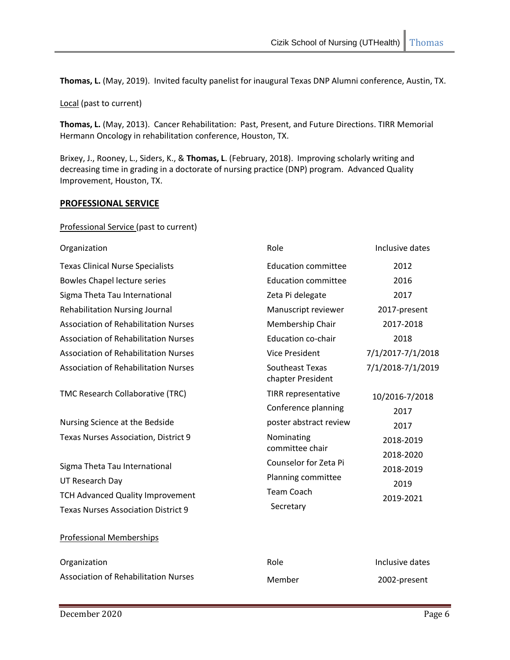**Thomas, L.** (May, 2019). Invited faculty panelist for inaugural Texas DNP Alumni conference, Austin, TX.

Local (past to current)

**Thomas, L.** (May, 2013). Cancer Rehabilitation: Past, Present, and Future Directions. TIRR Memorial Hermann Oncology in rehabilitation conference, Houston, TX.

Brixey, J., Rooney, L., Siders, K., & **Thomas, L**. (February, 2018). Improving scholarly writing and decreasing time in grading in a doctorate of nursing practice (DNP) program. Advanced Quality Improvement, Houston, TX.

#### **PROFESSIONAL SERVICE**

#### Professional Service (past to current)

| Organization                                | Role                                 | Inclusive dates        |
|---------------------------------------------|--------------------------------------|------------------------|
| <b>Texas Clinical Nurse Specialists</b>     | <b>Education committee</b>           | 2012                   |
| <b>Bowles Chapel lecture series</b>         | <b>Education committee</b>           | 2016                   |
| Sigma Theta Tau International               | Zeta Pi delegate                     | 2017                   |
| <b>Rehabilitation Nursing Journal</b>       | Manuscript reviewer                  | 2017-present           |
| <b>Association of Rehabilitation Nurses</b> | Membership Chair                     | 2017-2018              |
| <b>Association of Rehabilitation Nurses</b> | <b>Education co-chair</b>            | 2018                   |
| <b>Association of Rehabilitation Nurses</b> | <b>Vice President</b>                | 7/1/2017-7/1/2018      |
| <b>Association of Rehabilitation Nurses</b> | Southeast Texas<br>chapter President | 7/1/2018-7/1/2019      |
| TMC Research Collaborative (TRC)            | TIRR representative                  | 10/2016-7/2018         |
|                                             | Conference planning                  | 2017                   |
| Nursing Science at the Bedside              | poster abstract review               | 2017                   |
| Texas Nurses Association, District 9        | Nominating<br>committee chair        | 2018-2019<br>2018-2020 |
| Sigma Theta Tau International               | Counselor for Zeta Pi                | 2018-2019              |
| UT Research Day                             | Planning committee                   | 2019                   |
| <b>TCH Advanced Quality Improvement</b>     | <b>Team Coach</b>                    | 2019-2021              |
| <b>Texas Nurses Association District 9</b>  | Secretary                            |                        |
| <b>Professional Memberships</b>             |                                      |                        |
| Organization                                | Role                                 | Inclusive dates        |
| <b>Association of Rehabilitation Nurses</b> | Member                               | 2002-present           |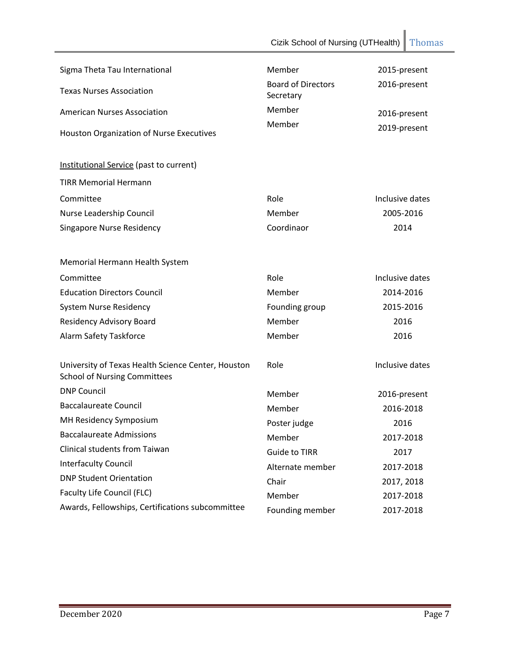| Sigma Theta Tau International                                                             | Member                    | 2015-present    |
|-------------------------------------------------------------------------------------------|---------------------------|-----------------|
| <b>Texas Nurses Association</b>                                                           | <b>Board of Directors</b> | 2016-present    |
|                                                                                           | Secretary                 |                 |
| <b>American Nurses Association</b>                                                        | Member                    | 2016-present    |
| Houston Organization of Nurse Executives                                                  | Member                    | 2019-present    |
| Institutional Service (past to current)                                                   |                           |                 |
| <b>TIRR Memorial Hermann</b>                                                              |                           |                 |
| Committee                                                                                 | Role                      | Inclusive dates |
| Nurse Leadership Council                                                                  | Member                    | 2005-2016       |
| <b>Singapore Nurse Residency</b>                                                          | Coordinaor                | 2014            |
| Memorial Hermann Health System                                                            |                           |                 |
| Committee                                                                                 | Role                      | Inclusive dates |
| <b>Education Directors Council</b>                                                        | Member                    | 2014-2016       |
| System Nurse Residency                                                                    | Founding group            | 2015-2016       |
| <b>Residency Advisory Board</b>                                                           | Member                    | 2016            |
| Alarm Safety Taskforce                                                                    | Member                    | 2016            |
| University of Texas Health Science Center, Houston<br><b>School of Nursing Committees</b> | Role                      | Inclusive dates |
| <b>DNP Council</b>                                                                        | Member                    | 2016-present    |
| <b>Baccalaureate Council</b>                                                              | Member                    | 2016-2018       |
| MH Residency Symposium                                                                    | Poster judge              | 2016            |
| <b>Baccalaureate Admissions</b>                                                           | Member                    | 2017-2018       |
| Clinical students from Taiwan                                                             | <b>Guide to TIRR</b>      | 2017            |
| <b>Interfaculty Council</b>                                                               | Alternate member          | 2017-2018       |
| <b>DNP Student Orientation</b>                                                            | Chair                     | 2017, 2018      |
| Faculty Life Council (FLC)                                                                | Member                    | 2017-2018       |
| Awards, Fellowships, Certifications subcommittee                                          | Founding member           | 2017-2018       |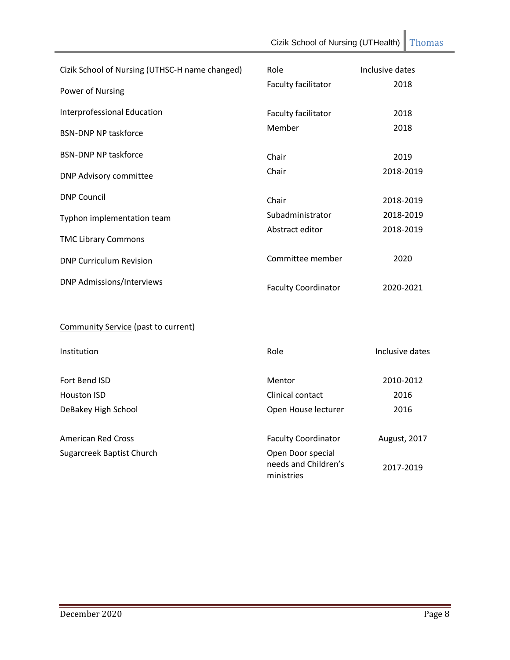| Cizik School of Nursing (UTHSC-H name changed) | Role                                                    | Inclusive dates   |
|------------------------------------------------|---------------------------------------------------------|-------------------|
| Power of Nursing                               | Faculty facilitator                                     | 2018              |
| Interprofessional Education                    | Faculty facilitator                                     | 2018              |
| <b>BSN-DNP NP taskforce</b>                    | Member                                                  | 2018              |
| <b>BSN-DNP NP taskforce</b>                    | Chair                                                   | 2019              |
| <b>DNP Advisory committee</b>                  | Chair                                                   | 2018-2019         |
| <b>DNP Council</b>                             | Chair                                                   | 2018-2019         |
| Typhon implementation team                     | Subadministrator                                        | 2018-2019         |
| <b>TMC Library Commons</b>                     | Abstract editor                                         | 2018-2019         |
| <b>DNP Curriculum Revision</b>                 | Committee member                                        | 2020              |
| <b>DNP Admissions/Interviews</b>               | <b>Faculty Coordinator</b>                              | 2020-2021         |
| <b>Community Service (past to current)</b>     |                                                         |                   |
| Institution                                    | Role                                                    | Inclusive dates   |
| Fort Bend ISD<br><b>Houston ISD</b>            | Mentor<br>Clinical contact                              | 2010-2012<br>2016 |
| DeBakey High School                            | Open House lecturer                                     | 2016              |
| <b>American Red Cross</b>                      | <b>Faculty Coordinator</b>                              | August, 2017      |
| <b>Sugarcreek Baptist Church</b>               | Open Door special<br>needs and Children's<br>ministries | 2017-2019         |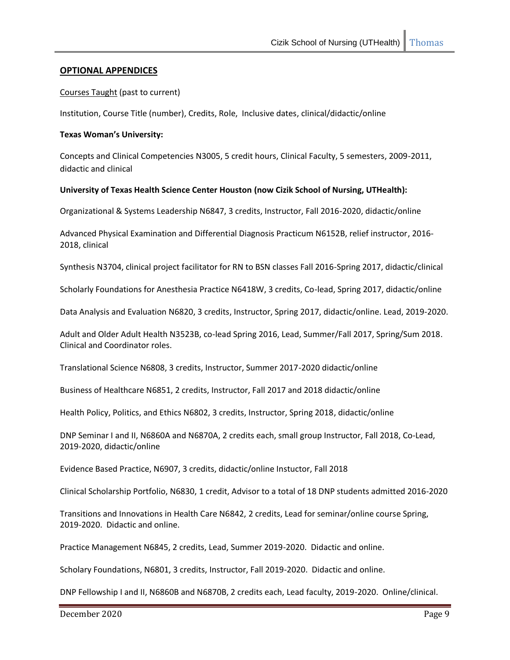# **OPTIONAL APPENDICES**

#### Courses Taught (past to current)

Institution, Course Title (number), Credits, Role, Inclusive dates, clinical/didactic/online

#### **Texas Woman's University:**

Concepts and Clinical Competencies N3005, 5 credit hours, Clinical Faculty, 5 semesters, 2009-2011, didactic and clinical

#### **University of Texas Health Science Center Houston (now Cizik School of Nursing, UTHealth):**

Organizational & Systems Leadership N6847, 3 credits, Instructor, Fall 2016-2020, didactic/online

Advanced Physical Examination and Differential Diagnosis Practicum N6152B, relief instructor, 2016- 2018, clinical

Synthesis N3704, clinical project facilitator for RN to BSN classes Fall 2016-Spring 2017, didactic/clinical

Scholarly Foundations for Anesthesia Practice N6418W, 3 credits, Co-lead, Spring 2017, didactic/online

Data Analysis and Evaluation N6820, 3 credits, Instructor, Spring 2017, didactic/online. Lead, 2019-2020.

Adult and Older Adult Health N3523B, co-lead Spring 2016, Lead, Summer/Fall 2017, Spring/Sum 2018. Clinical and Coordinator roles.

Translational Science N6808, 3 credits, Instructor, Summer 2017-2020 didactic/online

Business of Healthcare N6851, 2 credits, Instructor, Fall 2017 and 2018 didactic/online

Health Policy, Politics, and Ethics N6802, 3 credits, Instructor, Spring 2018, didactic/online

DNP Seminar I and II, N6860A and N6870A, 2 credits each, small group Instructor, Fall 2018, Co-Lead, 2019-2020, didactic/online

Evidence Based Practice, N6907, 3 credits, didactic/online Instuctor, Fall 2018

Clinical Scholarship Portfolio, N6830, 1 credit, Advisor to a total of 18 DNP students admitted 2016-2020

Transitions and Innovations in Health Care N6842, 2 credits, Lead for seminar/online course Spring, 2019-2020. Didactic and online.

Practice Management N6845, 2 credits, Lead, Summer 2019-2020. Didactic and online.

Scholary Foundations, N6801, 3 credits, Instructor, Fall 2019-2020. Didactic and online.

DNP Fellowship I and II, N6860B and N6870B, 2 credits each, Lead faculty, 2019-2020. Online/clinical.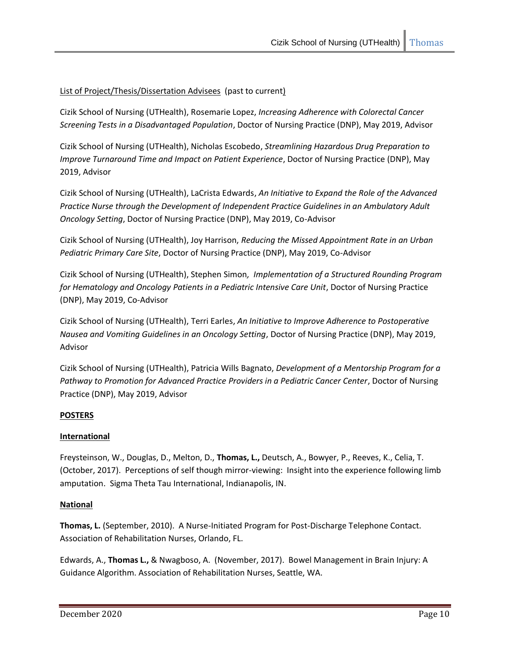# List of Project/Thesis/Dissertation Advisees (past to current)

Cizik School of Nursing (UTHealth), Rosemarie Lopez, *Increasing Adherence with Colorectal Cancer Screening Tests in a Disadvantaged Population*, Doctor of Nursing Practice (DNP), May 2019, Advisor

Cizik School of Nursing (UTHealth), Nicholas Escobedo, *Streamlining Hazardous Drug Preparation to Improve Turnaround Time and Impact on Patient Experience*, Doctor of Nursing Practice (DNP), May 2019, Advisor

Cizik School of Nursing (UTHealth), LaCrista Edwards, *An Initiative to Expand the Role of the Advanced Practice Nurse through the Development of Independent Practice Guidelines in an Ambulatory Adult Oncology Setting*, Doctor of Nursing Practice (DNP), May 2019, Co-Advisor

Cizik School of Nursing (UTHealth), Joy Harrison, *Reducing the Missed Appointment Rate in an Urban Pediatric Primary Care Site*, Doctor of Nursing Practice (DNP), May 2019, Co-Advisor

Cizik School of Nursing (UTHealth), Stephen Simon*, Implementation of a Structured Rounding Program for Hematology and Oncology Patients in a Pediatric Intensive Care Unit*, Doctor of Nursing Practice (DNP), May 2019, Co-Advisor

Cizik School of Nursing (UTHealth), Terri Earles, *An Initiative to Improve Adherence to Postoperative Nausea and Vomiting Guidelines in an Oncology Setting*, Doctor of Nursing Practice (DNP), May 2019, Advisor

Cizik School of Nursing (UTHealth), Patricia Wills Bagnato, *Development of a Mentorship Program for a*  Pathway to Promotion for Advanced Practice Providers in a Pediatric Cancer Center, Doctor of Nursing Practice (DNP), May 2019, Advisor

# **POSTERS**

# **International**

Freysteinson, W., Douglas, D., Melton, D., **Thomas, L.,** Deutsch, A., Bowyer, P., Reeves, K., Celia, T. (October, 2017). Perceptions of self though mirror-viewing: Insight into the experience following limb amputation. Sigma Theta Tau International, Indianapolis, IN.

# **National**

**Thomas, L.** (September, 2010). A Nurse-Initiated Program for Post-Discharge Telephone Contact. Association of Rehabilitation Nurses, Orlando, FL.

Edwards, A., **Thomas L.,** & Nwagboso, A. (November, 2017). Bowel Management in Brain Injury: A Guidance Algorithm. Association of Rehabilitation Nurses, Seattle, WA.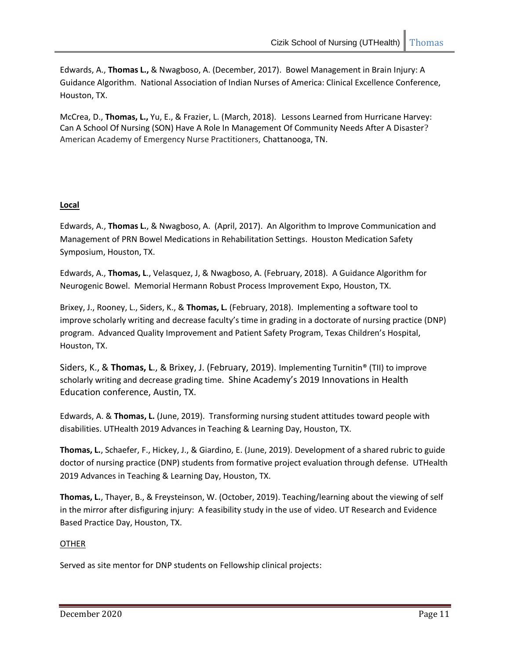Edwards, A., **Thomas L.,** & Nwagboso, A. (December, 2017). Bowel Management in Brain Injury: A Guidance Algorithm. National Association of Indian Nurses of America: Clinical Excellence Conference, Houston, TX.

McCrea, D., **Thomas, L.,** Yu, E., & Frazier, L. (March, 2018). Lessons Learned from Hurricane Harvey: Can A School Of Nursing (SON) Have A Role In Management Of Community Needs After A Disaster? American Academy of Emergency Nurse Practitioners, Chattanooga, TN.

# **Local**

Edwards, A., **Thomas L.**, & Nwagboso, A. (April, 2017). An Algorithm to Improve Communication and Management of PRN Bowel Medications in Rehabilitation Settings. Houston Medication Safety Symposium, Houston, TX.

Edwards, A., **Thomas, L**., Velasquez, J, & Nwagboso, A. (February, 2018). A Guidance Algorithm for Neurogenic Bowel. Memorial Hermann Robust Process Improvement Expo, Houston, TX.

Brixey, J., Rooney, L., Siders, K., & **Thomas, L.** (February, 2018). Implementing a software tool to improve scholarly writing and decrease faculty's time in grading in a doctorate of nursing practice (DNP) program. Advanced Quality Improvement and Patient Safety Program, Texas Children's Hospital, Houston, TX.

Siders, K., & **Thomas, L**., & Brixey, J. (February, 2019). Implementing Turnitin® (TII) to improve scholarly writing and decrease grading time. Shine Academy's 2019 Innovations in Health Education conference, Austin, TX.

Edwards, A. & **Thomas, L.** (June, 2019). Transforming nursing student attitudes toward people with disabilities. UTHealth 2019 Advances in Teaching & Learning Day, Houston, TX.

**Thomas, L.**, Schaefer, F., Hickey, J., & Giardino, E. (June, 2019). Development of a shared rubric to guide doctor of nursing practice (DNP) students from formative project evaluation through defense. UTHealth 2019 Advances in Teaching & Learning Day, Houston, TX.

**Thomas, L.**, Thayer, B., & Freysteinson, W. (October, 2019). Teaching/learning about the viewing of self in the mirror after disfiguring injury: A feasibility study in the use of video. UT Research and Evidence Based Practice Day, Houston, TX.

# **OTHER**

Served as site mentor for DNP students on Fellowship clinical projects: